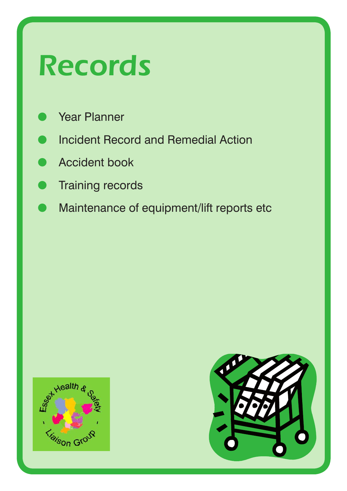# *Records*

- Year Planner
- **Incident Record and Remedial Action**
- **Accident book**
- **Training records**
- Maintenance of equipment/lift reports etc



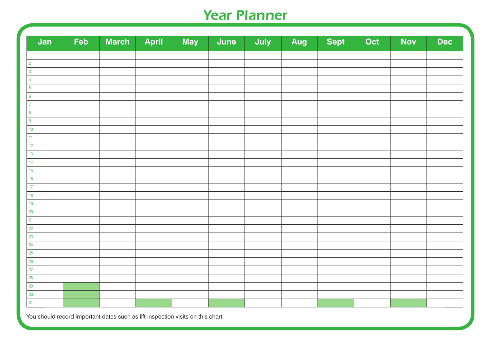#### *Year Planner*

| Jan              | Feb | March | April | May | June | July | Aug | <b>Sept</b> | Oct | <b>Nov</b> | <b>Dec</b> |
|------------------|-----|-------|-------|-----|------|------|-----|-------------|-----|------------|------------|
| $\mathbf{1}$     |     |       |       |     |      |      |     |             |     |            |            |
| $\overline{2}$   |     |       |       |     |      |      |     |             |     |            |            |
| $\overline{3}$   |     |       |       |     |      |      |     |             |     |            |            |
| $\overline{4}$   |     |       |       |     |      |      |     |             |     |            |            |
| $\overline{5}$   |     |       |       |     |      |      |     |             |     |            |            |
| $6\phantom{a}$   |     |       |       |     |      |      |     |             |     |            |            |
| $\overline{7}$   |     |       |       |     |      |      |     |             |     |            |            |
| $\bf 8$          |     |       |       |     |      |      |     |             |     |            |            |
| $\boldsymbol{9}$ |     |       |       |     |      |      |     |             |     |            |            |
| $10\,$           |     |       |       |     |      |      |     |             |     |            |            |
| 11 <sub>1</sub>  |     |       |       |     |      |      |     |             |     |            |            |
| $12$             |     |       |       |     |      |      |     |             |     |            |            |
| 13               |     |       |       |     |      |      |     |             |     |            |            |
| 14               |     |       |       |     |      |      |     |             |     |            |            |
| 15               |     |       |       |     |      |      |     |             |     |            |            |
| $16\,$           |     |       |       |     |      |      |     |             |     |            |            |
| $17\,$           |     |       |       |     |      |      |     |             |     |            |            |
| $18$             |     |       |       |     |      |      |     |             |     |            |            |
| $19$             |     |       |       |     |      |      |     |             |     |            |            |
| $20\,$           |     |       |       |     |      |      |     |             |     |            |            |
| 21               |     |       |       |     |      |      |     |             |     |            |            |
| 22               |     |       |       |     |      |      |     |             |     |            |            |
| $23\,$           |     |       |       |     |      |      |     |             |     |            |            |
| 24               |     |       |       |     |      |      |     |             |     |            |            |
| $25\,$           |     |       |       |     |      |      |     |             |     |            |            |
| $26\phantom{.}$  |     |       |       |     |      |      |     |             |     |            |            |
| $27\,$           |     |       |       |     |      |      |     |             |     |            |            |
| $28\,$           |     |       |       |     |      |      |     |             |     |            |            |
| $29\,$           |     |       |       |     |      |      |     |             |     |            |            |
| $30\,$           |     |       |       |     |      |      |     |             |     |            |            |
| 31               |     |       |       |     |      |      |     |             |     |            |            |

You should record important dates such as lift inspection visits on this chart.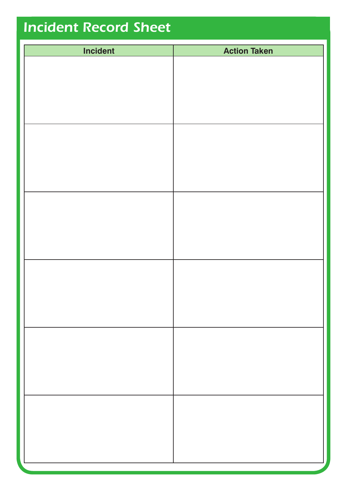### *Incident Record Sheet*

| Incident | <b>Action Taken</b> |
|----------|---------------------|
|          |                     |
|          |                     |
|          |                     |
|          |                     |
|          |                     |
|          |                     |
|          |                     |
|          |                     |
|          |                     |
|          |                     |
|          |                     |
|          |                     |
|          |                     |
|          |                     |
|          |                     |
|          |                     |
|          |                     |
|          |                     |
|          |                     |
|          |                     |
|          |                     |
|          |                     |
|          |                     |
|          |                     |
|          |                     |
|          |                     |
|          |                     |
|          |                     |
|          |                     |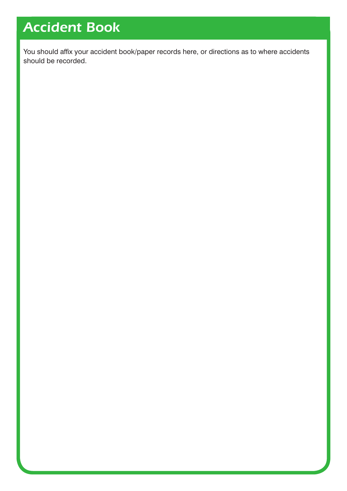### *Accident Book*

You should affix your accident book/paper records here, or directions as to where accidents should be recorded.